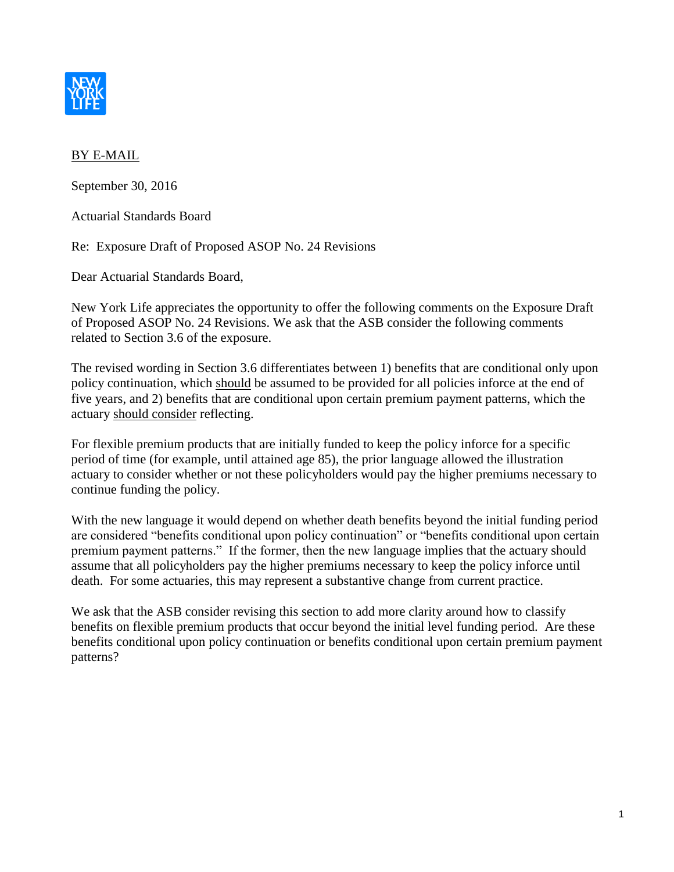

## BY E-MAIL

September 30, 2016

Actuarial Standards Board

Re: Exposure Draft of Proposed ASOP No. 24 Revisions

Dear Actuarial Standards Board,

New York Life appreciates the opportunity to offer the following comments on the Exposure Draft of Proposed ASOP No. 24 Revisions. We ask that the ASB consider the following comments related to Section 3.6 of the exposure.

The revised wording in Section 3.6 differentiates between 1) benefits that are conditional only upon policy continuation, which should be assumed to be provided for all policies inforce at the end of five years, and 2) benefits that are conditional upon certain premium payment patterns, which the actuary should consider reflecting.

For flexible premium products that are initially funded to keep the policy inforce for a specific period of time (for example, until attained age 85), the prior language allowed the illustration actuary to consider whether or not these policyholders would pay the higher premiums necessary to continue funding the policy.

With the new language it would depend on whether death benefits beyond the initial funding period are considered "benefits conditional upon policy continuation" or "benefits conditional upon certain premium payment patterns." If the former, then the new language implies that the actuary should assume that all policyholders pay the higher premiums necessary to keep the policy inforce until death. For some actuaries, this may represent a substantive change from current practice.

We ask that the ASB consider revising this section to add more clarity around how to classify benefits on flexible premium products that occur beyond the initial level funding period. Are these benefits conditional upon policy continuation or benefits conditional upon certain premium payment patterns?